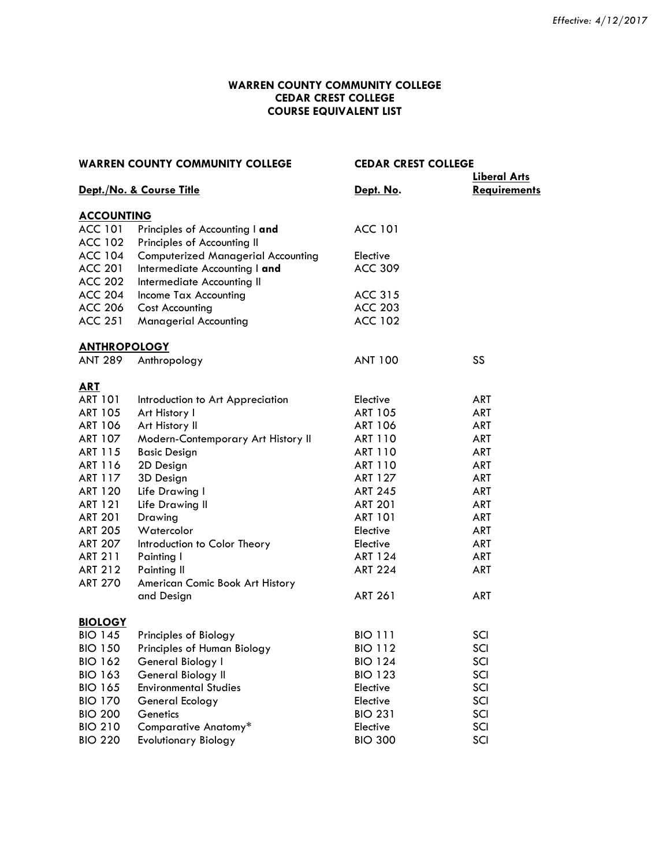# **WARREN COUNTY COMMUNITY COLLEGE CEDAR CREST COLLEGE COURSE EQUIVALENT LIST**

| <b>WARREN COUNTY COMMUNITY COLLEGE</b> |                                           | <b>CEDAR CREST COLLEGE</b> |                                            |
|----------------------------------------|-------------------------------------------|----------------------------|--------------------------------------------|
|                                        | Dept./No. & Course Title                  | Dept. No.                  | <b>Liberal Arts</b><br><b>Requirements</b> |
| <b>ACCOUNTING</b>                      |                                           |                            |                                            |
| <b>ACC 101</b>                         | Principles of Accounting I and            | <b>ACC 101</b>             |                                            |
| <b>ACC 102</b>                         | Principles of Accounting II               |                            |                                            |
| <b>ACC 104</b>                         | <b>Computerized Managerial Accounting</b> | Elective                   |                                            |
| <b>ACC 201</b>                         | Intermediate Accounting I and             | <b>ACC 309</b>             |                                            |
| <b>ACC 202</b>                         | Intermediate Accounting II                |                            |                                            |
| <b>ACC 204</b>                         | Income Tax Accounting                     | <b>ACC 315</b>             |                                            |
| <b>ACC 206</b>                         | <b>Cost Accounting</b>                    | <b>ACC 203</b>             |                                            |
| <b>ACC 251</b>                         | <b>Managerial Accounting</b>              | <b>ACC 102</b>             |                                            |
| <b>ANTHROPOLOGY</b>                    |                                           |                            |                                            |
| ANT 289                                | Anthropology                              | <b>ANT 100</b>             | SS                                         |
| <b>ART</b>                             |                                           |                            |                                            |
| <b>ART 101</b>                         | Introduction to Art Appreciation          | Elective                   | <b>ART</b>                                 |
| <b>ART 105</b>                         | Art History I                             | <b>ART 105</b>             | <b>ART</b>                                 |
| <b>ART 106</b>                         | Art History II                            | ART 106                    | ART                                        |
| <b>ART 107</b>                         | Modern-Contemporary Art History II        | ART 110                    | ART                                        |
| ART 115                                | <b>Basic Design</b>                       | ART 110                    | ART                                        |
| ART 116                                | 2D Design                                 | <b>ART 110</b>             | <b>ART</b>                                 |
| ART 117                                | 3D Design                                 | <b>ART 127</b>             | ART                                        |
| <b>ART 120</b>                         | Life Drawing I                            | <b>ART 245</b>             | ART                                        |
| <b>ART 121</b>                         | Life Drawing II                           | <b>ART 201</b>             | ART                                        |
| <b>ART 201</b>                         | Drawing                                   | <b>ART 101</b>             | ART                                        |
| <b>ART 205</b>                         | Watercolor                                | Elective                   | <b>ART</b>                                 |
| <b>ART 207</b>                         | Introduction to Color Theory              | Elective                   | <b>ART</b>                                 |
| <b>ART 211</b>                         | Painting I                                | ART 124                    | ART                                        |
| <b>ART 212</b>                         | Painting II                               | <b>ART 224</b>             | <b>ART</b>                                 |
| <b>ART 270</b>                         | American Comic Book Art History           |                            |                                            |
|                                        | and Design                                | <b>ART 261</b>             | <b>ART</b>                                 |
| <b>BIOLOGY</b>                         |                                           |                            |                                            |
| <b>BIO 145</b>                         | Principles of Biology                     | <b>BIO 111</b>             | SCI                                        |
| <b>BIO 150</b>                         | Principles of Human Biology               | <b>BIO 112</b>             | SCI                                        |
| <b>BIO 162</b>                         | General Biology I                         | <b>BIO 124</b>             | SCI                                        |
| <b>BIO 163</b>                         | General Biology II                        | <b>BIO 123</b>             | SCI                                        |
| <b>BIO 165</b>                         | <b>Environmental Studies</b>              | Elective                   | SCI                                        |
| <b>BIO 170</b>                         | General Ecology                           | Elective                   | SCI                                        |
| <b>BIO 200</b>                         | Genetics                                  | <b>BIO 231</b>             | SCI                                        |
| <b>BIO 210</b>                         | Comparative Anatomy*                      | Elective                   | SCI                                        |
| <b>BIO 220</b>                         | <b>Evolutionary Biology</b>               | <b>BIO 300</b>             | SCI                                        |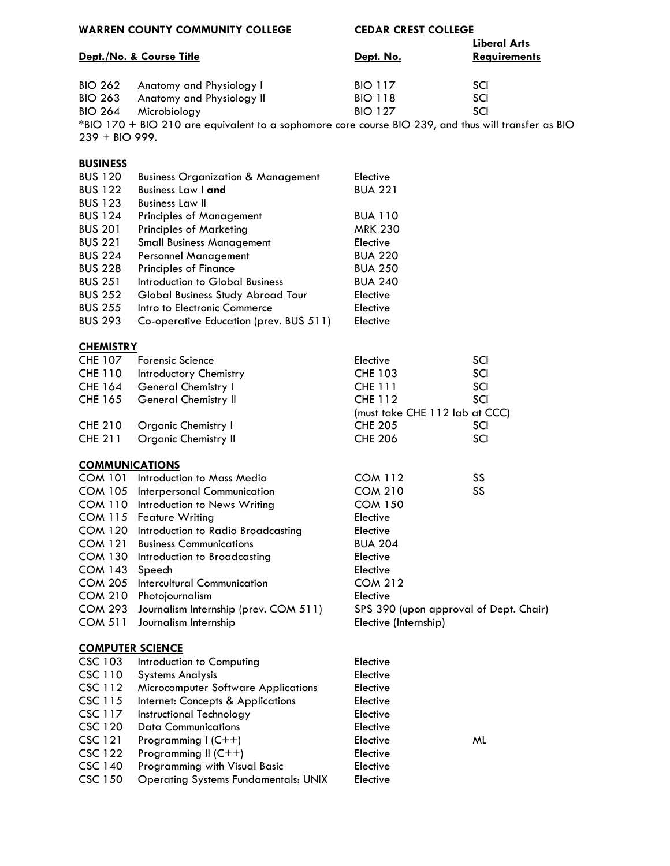| <b>WARREN COUNTY COMMUNITY COLLEGE</b> | <b>CEDAR CREST COLLEGE</b> |                     |
|----------------------------------------|----------------------------|---------------------|
|                                        |                            | Liberal Arts        |
| Dept./No. & Course Title               | Dept. No.                  | <b>Requirements</b> |

BIO 262 Anatomy and Physiology I BIO 117 SCI BIO 263 Anatomy and Physiology II BIO 118 SCI BIO 264 Microbiology BIO 127 SCI \*BIO 170 + BIO 210 are equivalent to a sophomore core course BIO 239, and thus will transfer as BIO 239 + BIO 999.

# **BUSINESS**

| <b>BUS 120</b> | <b>Business Organization &amp; Management</b> | Elective       |
|----------------|-----------------------------------------------|----------------|
| <b>BUS 122</b> | <b>Business Law I and</b>                     | <b>BUA 221</b> |
| <b>BUS 123</b> | <b>Business Law II</b>                        |                |
| <b>BUS 124</b> | <b>Principles of Management</b>               | <b>BUA 110</b> |
| <b>BUS 201</b> | <b>Principles of Marketing</b>                | <b>MRK 230</b> |
| <b>BUS 221</b> | <b>Small Business Management</b>              | Elective       |
| <b>BUS 224</b> | <b>Personnel Management</b>                   | <b>BUA 220</b> |
| <b>BUS 228</b> | <b>Principles of Finance</b>                  | <b>BUA 250</b> |
| <b>BUS 251</b> | Introduction to Global Business               | <b>BUA 240</b> |
| <b>BUS 252</b> | Global Business Study Abroad Tour             | Elective       |
| <b>BUS 255</b> | Intro to Electronic Commerce                  | Elective       |
| <b>BUS 293</b> | Co-operative Education (prev. BUS 511)        | Elective       |
|                |                                               |                |

### **CHEMISTRY**

|                | CHE 107 Forensic Science    | Elective                       | SCI        |
|----------------|-----------------------------|--------------------------------|------------|
| CHE 110        | Introductory Chemistry      | <b>CHE 103</b>                 | SCI        |
| <b>CHE 164</b> | General Chemistry I         | <b>CHE 111</b>                 | SCI        |
| CHE 165        | General Chemistry II        | <b>CHE 112</b>                 | <b>SCI</b> |
|                |                             | (must take CHE 112 lab at CCC) |            |
| <b>CHE 210</b> | Organic Chemistry I         | <b>CHE 205</b>                 | SCI        |
| CHE 211        | <b>Organic Chemistry II</b> | <b>CHE 206</b>                 | SCI        |

### **COMMUNICATIONS**

| COM 101                 | Introduction to Mass Media                 | <b>COM 112</b>                         | SS |
|-------------------------|--------------------------------------------|----------------------------------------|----|
|                         | COM 105 Interpersonal Communication        | <b>COM 210</b>                         | SS |
| COM 110                 | Introduction to News Writing               | <b>COM 150</b>                         |    |
|                         | COM 115 Feature Writing                    | Elective                               |    |
|                         | COM 120 Introduction to Radio Broadcasting | Elective                               |    |
| COM 121                 | <b>Business Communications</b>             | <b>BUA 204</b>                         |    |
| COM 130                 | Introduction to Broadcasting               | Elective                               |    |
| COM 143                 | Speech                                     | Elective                               |    |
| COM 205                 | Intercultural Communication                | <b>COM 212</b>                         |    |
|                         | COM 210 Photojournalism                    | Elective                               |    |
| COM 293                 | Journalism Internship (prev. COM 511)      | SPS 390 (upon approval of Dept. Chair) |    |
| <b>COM 511</b>          | Journalism Internship                      | Elective (Internship)                  |    |
|                         |                                            |                                        |    |
| <b>COMPUTER SCIENCE</b> |                                            |                                        |    |
| CSC 103                 | Introduction to Computing                  | Elective                               |    |
| CSC 110                 | <b>Systems Analysis</b>                    | Elective                               |    |
| CSC 112                 | Microcomputer Software Applications        | Elective                               |    |
| CSC 115                 | Internet: Concepts & Applications          | Elective                               |    |
| CSC 117                 | Instructional Technology                   | Elective                               |    |
|                         |                                            |                                        |    |

CSC 120 Data Communications Elective

CSC 121 Programming I (C++) Elective Elective ML

CSC 122 Programming II (C++) Elective

CSC 140 Programming with Visual Basic Elective

CSC 150 Operating Systems Fundamentals: UNIX Elective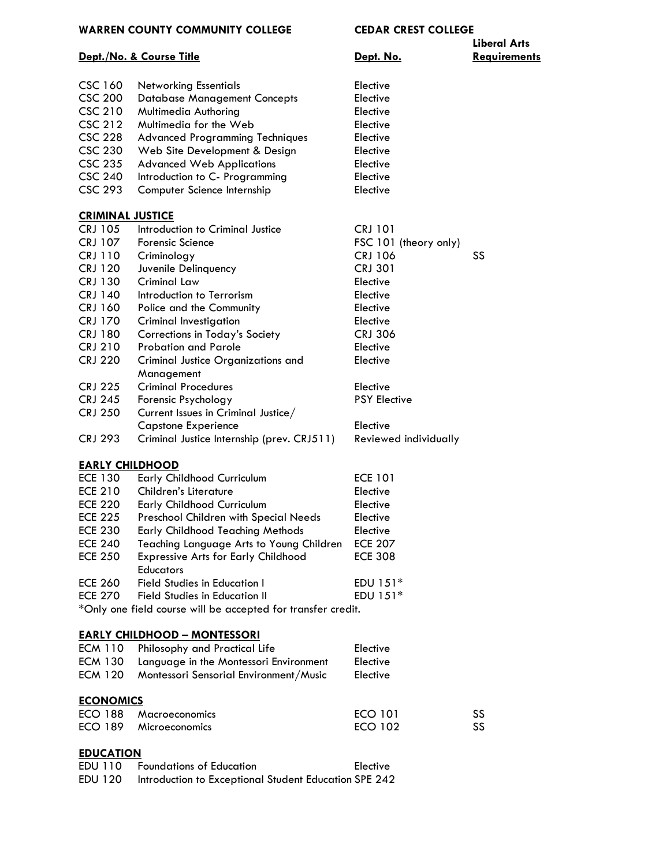#### **WARREN COUNTY COMMUNITY COLLEGE CEDAR CREST COLLEGE**

#### **Dept./No. & Course Title Dept. No. Requirements**

**Liberal Arts**

| <b>CSC 160</b><br><b>CSC 200</b><br><b>CSC 210</b><br><b>CSC 212</b><br><b>CSC 228</b><br><b>CSC 230</b><br><b>CSC 235</b><br><b>CSC 240</b> | <b>Networking Essentials</b><br><b>Database Management Concepts</b><br>Multimedia Authoring<br>Multimedia for the Web<br><b>Advanced Programming Techniques</b><br>Web Site Development & Design<br><b>Advanced Web Applications</b><br>Introduction to C- Programming | Elective<br>Elective<br>Elective<br>Elective<br>Elective<br>Elective<br>Elective<br>Elective |    |
|----------------------------------------------------------------------------------------------------------------------------------------------|------------------------------------------------------------------------------------------------------------------------------------------------------------------------------------------------------------------------------------------------------------------------|----------------------------------------------------------------------------------------------|----|
| <b>CSC 293</b>                                                                                                                               | Computer Science Internship                                                                                                                                                                                                                                            | Elective                                                                                     |    |
| <b>CRIMINAL JUSTICE</b>                                                                                                                      |                                                                                                                                                                                                                                                                        |                                                                                              |    |
| <b>CRJ 105</b>                                                                                                                               | Introduction to Criminal Justice                                                                                                                                                                                                                                       | <b>CRJ 101</b>                                                                               |    |
| <b>CRJ 107</b>                                                                                                                               | <b>Forensic Science</b>                                                                                                                                                                                                                                                | FSC 101 (theory only)                                                                        |    |
| <b>CRJ 110</b>                                                                                                                               | Criminology                                                                                                                                                                                                                                                            | <b>CRJ 106</b>                                                                               | SS |
| <b>CRJ 120</b>                                                                                                                               | Juvenile Delinquency                                                                                                                                                                                                                                                   | <b>CRJ 301</b>                                                                               |    |
| <b>CRJ 130</b>                                                                                                                               | <b>Criminal Law</b>                                                                                                                                                                                                                                                    | Elective                                                                                     |    |
| <b>CRJ 140</b>                                                                                                                               | Introduction to Terrorism                                                                                                                                                                                                                                              | Elective                                                                                     |    |
| <b>CRJ 160</b>                                                                                                                               | Police and the Community                                                                                                                                                                                                                                               | Elective                                                                                     |    |
| <b>CRJ 170</b>                                                                                                                               | <b>Criminal Investigation</b>                                                                                                                                                                                                                                          | Elective                                                                                     |    |
| <b>CRJ 180</b>                                                                                                                               | Corrections in Today's Society                                                                                                                                                                                                                                         | <b>CRJ 306</b>                                                                               |    |
| <b>CRJ 210</b>                                                                                                                               | <b>Probation and Parole</b>                                                                                                                                                                                                                                            | Elective                                                                                     |    |
| <b>CRJ 220</b>                                                                                                                               | <b>Criminal Justice Organizations and</b><br>Management                                                                                                                                                                                                                | Elective                                                                                     |    |
| <b>CRJ 225</b>                                                                                                                               | <b>Criminal Procedures</b>                                                                                                                                                                                                                                             | Elective                                                                                     |    |
| <b>CRJ 245</b>                                                                                                                               | Forensic Psychology                                                                                                                                                                                                                                                    | <b>PSY Elective</b>                                                                          |    |
| <b>CRJ 250</b>                                                                                                                               | Current Issues in Criminal Justice/                                                                                                                                                                                                                                    |                                                                                              |    |
|                                                                                                                                              | <b>Capstone Experience</b>                                                                                                                                                                                                                                             | Elective                                                                                     |    |
| <b>CRJ 293</b>                                                                                                                               | Criminal Justice Internship (prev. CRJ511)                                                                                                                                                                                                                             | Reviewed individually                                                                        |    |
| <b>EARLY CHILDHOOD</b>                                                                                                                       |                                                                                                                                                                                                                                                                        |                                                                                              |    |
| <b>ECE 130</b>                                                                                                                               | <b>Early Childhood Curriculum</b>                                                                                                                                                                                                                                      | <b>ECE 101</b>                                                                               |    |
| <b>ECE 210</b>                                                                                                                               | Children's Literature                                                                                                                                                                                                                                                  | Elective                                                                                     |    |
| <b>ECE 220</b>                                                                                                                               | Early Childhood Curriculum                                                                                                                                                                                                                                             | Elective                                                                                     |    |
| <b>ECE 225</b>                                                                                                                               | Preschool Children with Special Needs                                                                                                                                                                                                                                  | Elective                                                                                     |    |
| <b>ECE 230</b>                                                                                                                               | <b>Early Childhood Teaching Methods</b>                                                                                                                                                                                                                                | Elective                                                                                     |    |
| <b>ECE 240</b>                                                                                                                               | Teaching Language Arts to Young Children                                                                                                                                                                                                                               | <b>ECE 207</b>                                                                               |    |
| <b>ECE 250</b>                                                                                                                               | <b>Expressive Arts for Early Childhood</b><br>Fducators                                                                                                                                                                                                                | <b>ECE 308</b>                                                                               |    |

ECE 260 Field Studies in Education I FOU 151\*<br>ECE 270 Field Studies in Education II FOU 151\* ECE 270 Field Studies in Education II

\*Only one field course will be accepted for transfer credit.

### **EARLY CHILDHOOD – MONTESSORI**

| ECM 110          | Philosophy and Practical Life<br>Elective |                |    |
|------------------|-------------------------------------------|----------------|----|
| <b>ECM 130</b>   | Language in the Montessori Environment    | Elective       |    |
| <b>ECM 120</b>   | Montessori Sensorial Environment/Music    | Elective       |    |
| <b>ECONOMICS</b> |                                           |                |    |
| ECO 188          | <b>Macroeconomics</b>                     | ECO 101        | SS |
|                  | ECO 189 Microeconomics                    | <b>ECO 102</b> | SS |

# **EDUCATION**

| EDU 110 | Foundations of Education                              | Elective |
|---------|-------------------------------------------------------|----------|
| EDU 120 | Introduction to Exceptional Student Education SPE 242 |          |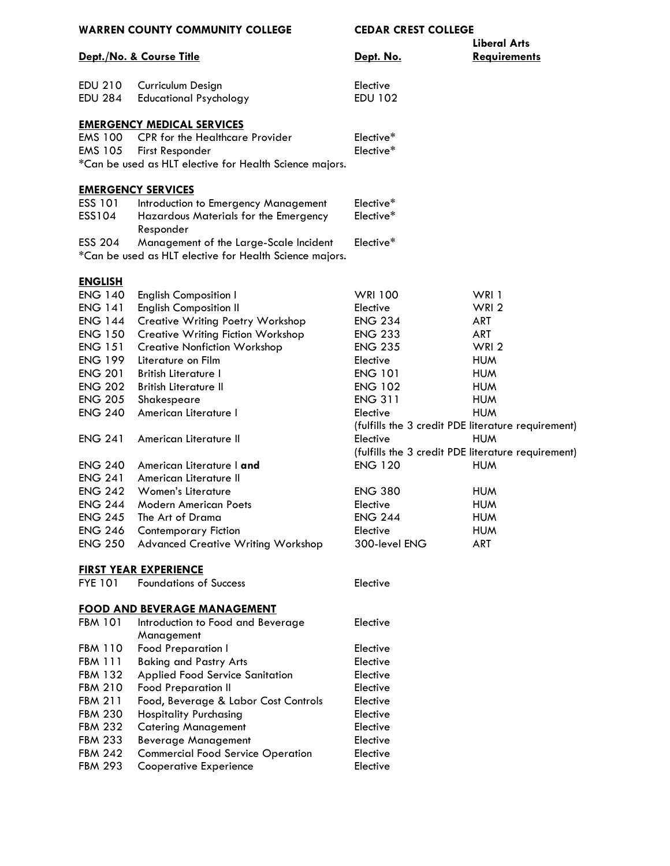| WARREN COUNTY COMMUNITY COLLEGE |                                                                          | <b>CEDAR CREST COLLEGE</b>                         |                     |
|---------------------------------|--------------------------------------------------------------------------|----------------------------------------------------|---------------------|
|                                 |                                                                          |                                                    | <b>Liberal Arts</b> |
|                                 | <u>Dept./No. &amp; Course Title</u>                                      | Dept. No.                                          | <b>Requirements</b> |
| EDU 210                         |                                                                          |                                                    |                     |
|                                 | Curriculum Design                                                        | Elective                                           |                     |
| <b>EDU 284</b>                  | <b>Educational Psychology</b>                                            | <b>EDU 102</b>                                     |                     |
|                                 | <b>EMERGENCY MEDICAL SERVICES</b>                                        |                                                    |                     |
| EMS 100                         | <b>CPR</b> for the Healthcare Provider                                   | Elective*                                          |                     |
| EMS 105                         | First Responder                                                          | Elective*                                          |                     |
|                                 | *Can be used as HLT elective for Health Science majors.                  |                                                    |                     |
|                                 | <b>EMERGENCY SERVICES</b>                                                |                                                    |                     |
| ESS 101                         | Introduction to Emergency Management                                     | Elective*                                          |                     |
| ESS104                          | Hazardous Materials for the Emergency                                    | Elective*                                          |                     |
|                                 | Responder                                                                |                                                    |                     |
| ESS 204                         | Management of the Large-Scale Incident                                   | Elective*                                          |                     |
|                                 | *Can be used as HLT elective for Health Science majors.                  |                                                    |                     |
| <b>ENGLISH</b>                  |                                                                          |                                                    |                     |
| <b>ENG 140</b>                  | <b>English Composition I</b>                                             | <b>WRI 100</b>                                     | WRI 1               |
| <b>ENG 141</b>                  | <b>English Composition II</b>                                            | Elective                                           | WRI <sub>2</sub>    |
| <b>ENG 144</b>                  | <b>Creative Writing Poetry Workshop</b>                                  | <b>ENG 234</b>                                     | <b>ART</b>          |
| <b>ENG 150</b>                  | <b>Creative Writing Fiction Workshop</b>                                 | <b>ENG 233</b>                                     | <b>ART</b>          |
| <b>ENG 151</b>                  | <b>Creative Nonfiction Workshop</b>                                      | <b>ENG 235</b>                                     | WRI <sub>2</sub>    |
| <b>ENG 199</b>                  | Literature on Film                                                       | Elective                                           | <b>HUM</b>          |
| <b>ENG 201</b>                  | <b>British Literature I</b>                                              | <b>ENG 101</b>                                     | <b>HUM</b>          |
| <b>ENG 202</b>                  | <b>British Literature II</b>                                             | <b>ENG 102</b>                                     | <b>HUM</b>          |
| <b>ENG 205</b>                  | Shakespeare                                                              | <b>ENG 311</b>                                     | <b>HUM</b>          |
| <b>ENG 240</b>                  | American Literature I                                                    | Elective                                           | <b>HUM</b>          |
|                                 |                                                                          | (fulfills the 3 credit PDE literature requirement) |                     |
| <b>ENG 241</b>                  | American Literature II                                                   | Elective                                           | <b>HUM</b>          |
|                                 |                                                                          | (fulfills the 3 credit PDE literature requirement) |                     |
| <b>ENG 240</b>                  | American Literature I and                                                | <b>ENG 120</b>                                     | <b>HUM</b>          |
| <b>ENG 241</b>                  | American Literature II                                                   |                                                    |                     |
| <b>ENG 242</b>                  | Women's Literature                                                       | <b>ENG 380</b>                                     | <b>HUM</b>          |
| <b>ENG 244</b>                  | <b>Modern American Poets</b>                                             | Elective                                           | <b>HUM</b>          |
| ENG 245                         | The Art of Drama                                                         | <b>ENG 244</b>                                     | <b>HUM</b>          |
| <b>ENG 246</b>                  | <b>Contemporary Fiction</b>                                              | Elective                                           | <b>HUM</b>          |
| <b>ENG 250</b>                  | <b>Advanced Creative Writing Workshop</b>                                | 300-level ENG                                      | ART                 |
|                                 | <b>FIRST YEAR EXPERIENCE</b>                                             |                                                    |                     |
| <b>FYE 101</b>                  | <b>Foundations of Success</b>                                            | Elective                                           |                     |
|                                 |                                                                          |                                                    |                     |
| FBM 101                         | <u>FOOD AND BEVERAGE MANAGEMENT</u><br>Introduction to Food and Beverage |                                                    |                     |
|                                 | Management                                                               | Elective                                           |                     |
| <b>FBM 110</b>                  | <b>Food Preparation I</b>                                                | Elective                                           |                     |
| <b>FBM 111</b>                  | <b>Baking and Pastry Arts</b>                                            | Elective                                           |                     |
| FBM 132                         | Applied Food Service Sanitation                                          | Elective                                           |                     |
| <b>FBM 210</b>                  | <b>Food Preparation II</b>                                               | Elective                                           |                     |
| FBM 211                         | Food, Beverage & Labor Cost Controls                                     | Elective                                           |                     |
| FBM 230                         | <b>Hospitality Purchasing</b>                                            | Elective                                           |                     |
| FBM 232                         | <b>Catering Management</b>                                               | Elective                                           |                     |
| FBM 233                         | <b>Beverage Management</b>                                               | Elective                                           |                     |
| <b>FBM 242</b>                  | <b>Commercial Food Service Operation</b>                                 | Elective                                           |                     |
| FBM 293                         | <b>Cooperative Experience</b>                                            | Elective                                           |                     |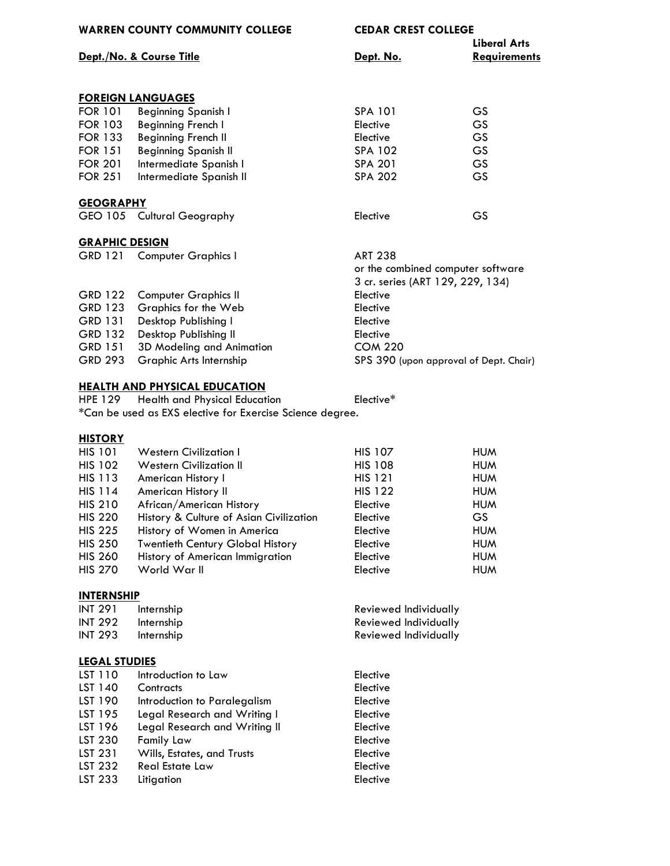| <b>WARREN COUNTY COMMUNITY COLLEGE</b> |                                                           | <b>CEDAR CREST COLLEGE</b>             | <b>Liberal Arts</b> |
|----------------------------------------|-----------------------------------------------------------|----------------------------------------|---------------------|
|                                        | Dept./No. & Course Title                                  | Dept. No.                              | <b>Requirements</b> |
|                                        |                                                           |                                        |                     |
|                                        | <b>FOREIGN LANGUAGES</b>                                  |                                        |                     |
| <b>FOR 101</b>                         | <b>Beginning Spanish I</b>                                | <b>SPA 101</b>                         | <b>GS</b>           |
| <b>FOR 103</b>                         | Beginning French I                                        | Elective                               | <b>GS</b>           |
| <b>FOR 133</b>                         | <b>Beginning French II</b>                                | Elective                               | <b>GS</b>           |
| <b>FOR 151</b>                         | <b>Beginning Spanish II</b>                               | SPA 102                                | <b>GS</b>           |
| <b>FOR 201</b>                         | Intermediate Spanish I                                    | <b>SPA 201</b>                         | <b>GS</b>           |
| <b>FOR 251</b>                         | Intermediate Spanish II                                   | <b>SPA 202</b>                         | <b>GS</b>           |
| <b>GEOGRAPHY</b>                       |                                                           |                                        |                     |
|                                        | GEO 105 Cultural Geography                                | Elective                               | <b>GS</b>           |
| <b>GRAPHIC DESIGN</b>                  |                                                           |                                        |                     |
| <b>GRD 121</b>                         | <b>Computer Graphics I</b>                                | <b>ART 238</b>                         |                     |
|                                        |                                                           | or the combined computer software      |                     |
|                                        |                                                           | 3 cr. series (ART 129, 229, 134)       |                     |
| <b>GRD 122</b>                         | <b>Computer Graphics II</b>                               | Elective                               |                     |
| GRD 123                                | Graphics for the Web                                      | Elective                               |                     |
| GRD 131                                | Desktop Publishing I                                      | Elective                               |                     |
| <b>GRD 132</b>                         | Desktop Publishing II                                     | Elective                               |                     |
| <b>GRD 151</b>                         | 3D Modeling and Animation                                 | <b>COM 220</b>                         |                     |
| <b>GRD 293</b>                         | Graphic Arts Internship                                   | SPS 390 (upon approval of Dept. Chair) |                     |
|                                        | <b>HEALTH AND PHYSICAL EDUCATION</b>                      |                                        |                     |
| <b>HPE 129</b>                         | Health and Physical Education                             | Elective*                              |                     |
|                                        | *Can be used as EXS elective for Exercise Science degree. |                                        |                     |
| <b>HISTORY</b>                         |                                                           |                                        |                     |
| <b>HIS 101</b>                         | <b>Western Civilization I</b>                             | <b>HIS 107</b>                         | <b>HUM</b>          |
| <b>HIS 102</b>                         | <b>Western Civilization II</b>                            | <b>HIS 108</b>                         | <b>HUM</b>          |
| <b>HIS 113</b>                         | American History I                                        | <b>HIS 121</b>                         | <b>HUM</b>          |

HIS 114 American History II HIS 122 HUM HIS 210 African/American History **Elective Elective** HUM HIS 220 History & Culture of Asian Civilization Elective GS

| <b>HIS 225</b> | History of Women in America             | Elective | <b>HUM</b> |
|----------------|-----------------------------------------|----------|------------|
| <b>HIS 250</b> | <b>Twentieth Century Global History</b> | Elective | <b>HUM</b> |
| <b>HIS 260</b> | History of American Immigration         | Elective | <b>HUM</b> |
| <b>HIS 270</b> | World War II                            | Elective | <b>HUM</b> |

# **INTERNSHIP**

| INT 291 | Internship | Reviewed Individually |
|---------|------------|-----------------------|
| INT 292 | Internship | Reviewed Individually |
| INT 293 | Internship | Reviewed Individually |

# **LEGAL STUDIES**

| LST 110 | Introduction to Law           | Elective |
|---------|-------------------------------|----------|
| LST 140 | Contracts                     | Elective |
| LST 190 | Introduction to Paralegalism  | Elective |
| LST 195 | Legal Research and Writing I  | Elective |
| LST 196 | Legal Research and Writing II | Elective |
| LST 230 | <b>Family Law</b>             | Elective |
| LST 231 | Wills, Estates, and Trusts    | Elective |
| LST 232 | <b>Real Estate Law</b>        | Elective |
| LST 233 | Litigation                    | Elective |
|         |                               |          |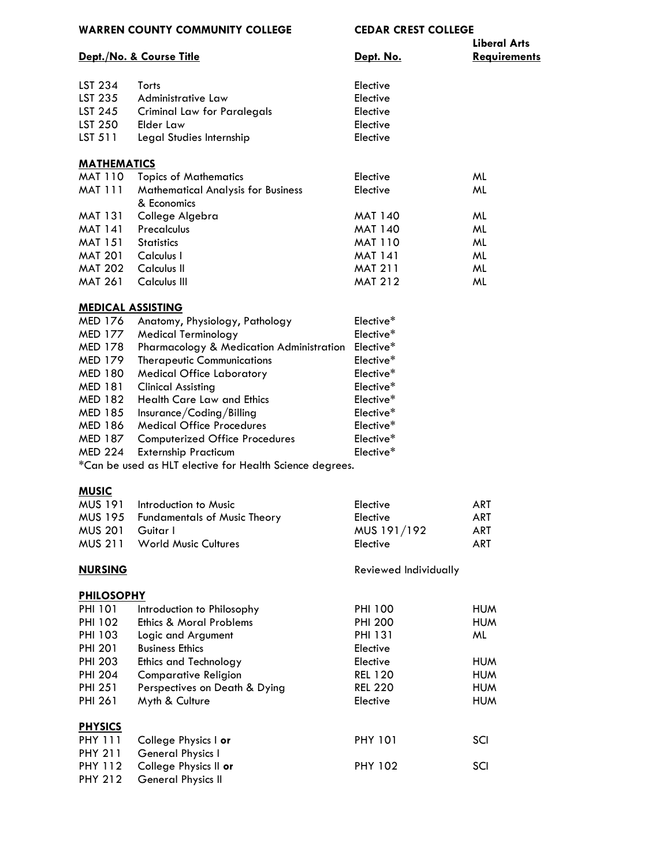**WARREN COUNTY COMMUNITY COLLEGE CEDAR CREST COLLEGE**

|  | Dept./No. & Course Title |  |
|--|--------------------------|--|
|  |                          |  |

|           | <b>Liberal Arts</b> |
|-----------|---------------------|
| Dept. No. | <b>Requirements</b> |
|           |                     |

| <b>MATHEMATICS</b> |                             |          |  |
|--------------------|-----------------------------|----------|--|
| LST 511            | Legal Studies Internship    | Elective |  |
| LST 250            | Elder Law                   | Elective |  |
| LST 245            | Criminal Law for Paralegals | Elective |  |
| LST 235            | Administrative Law          | Elective |  |
| LST 234            | Torts                       | Elective |  |
|                    |                             |          |  |

| <b>MAINEMAILS</b> |                                           |                |    |
|-------------------|-------------------------------------------|----------------|----|
| MAT 110           | <b>Topics of Mathematics</b>              | Elective       | ML |
| MAT 111           | <b>Mathematical Analysis for Business</b> | Elective       | ML |
|                   | & Economics                               |                |    |
| MAT 131           | College Algebra                           | <b>MAT 140</b> | ML |
| MAT 141           | Precalculus                               | <b>MAT 140</b> | ML |
| MAT 151           | <b>Statistics</b>                         | <b>MAT 110</b> | ML |
| <b>MAT 201</b>    | Calculus I                                | <b>MAT 141</b> | ML |
| <b>MAT 202</b>    | Calculus II                               | <b>MAT 211</b> | ML |
| <b>MAT 261</b>    | Calculus III                              | <b>MAT 212</b> | ML |

#### **MEDICAL ASSISTING**

| <b>MED 176</b> | Anatomy, Physiology, Pathology           | Elective*             |
|----------------|------------------------------------------|-----------------------|
| <b>MED 177</b> | <b>Medical Terminology</b>               | Elective*             |
| <b>MED 178</b> | Pharmacology & Medication Administration | Elective*             |
| <b>MED 179</b> | <b>Therapeutic Communications</b>        | Elective*             |
| <b>MED 180</b> | <b>Medical Office Laboratory</b>         | Elective <sup>*</sup> |
| <b>MED 181</b> | <b>Clinical Assisting</b>                | Elective*             |
| <b>MED 182</b> | <b>Health Care Law and Ethics</b>        | Elective*             |
| <b>MED 185</b> | Insurance/Coding/Billing                 | Elective <sup>*</sup> |
| <b>MED 186</b> | <b>Medical Office Procedures</b>         | Elective*             |
| <b>MED 187</b> | <b>Computerized Office Procedures</b>    | Elective*             |
| <b>MED 224</b> | <b>Externship Practicum</b>              | Elective*             |
|                |                                          |                       |

\*Can be used as HLT elective for Health Science degrees.

# **MUSIC**

|                  | MUS 191 Introduction to Music        | Elective    | ART |
|------------------|--------------------------------------|-------------|-----|
|                  | MUS 195 Fundamentals of Music Theory | Elective    | ART |
| MUS 201 Guitar L |                                      | MUS 191/192 | ART |
|                  | MUS 211 World Music Cultures         | Elective    | ART |

## **NURSING** Reviewed Individually

| <b>PHILOSOPHY</b> |                               |                |            |  |
|-------------------|-------------------------------|----------------|------------|--|
| <b>PHI 101</b>    | Introduction to Philosophy    | <b>PHI 100</b> | <b>HUM</b> |  |
| <b>PHI 102</b>    | Ethics & Moral Problems       | <b>PHI 200</b> | <b>HUM</b> |  |
| <b>PHI 103</b>    | Logic and Argument            | <b>PHI 131</b> | ML         |  |
| <b>PHI 201</b>    | <b>Business Ethics</b>        | Elective       |            |  |
| <b>PHI 203</b>    | <b>Ethics and Technology</b>  | Elective       | <b>HUM</b> |  |
| <b>PHI 204</b>    | <b>Comparative Religion</b>   | <b>REL 120</b> | <b>HUM</b> |  |
| <b>PHI 251</b>    | Perspectives on Death & Dying | <b>REL 220</b> | <b>HUM</b> |  |
| <b>PHI 261</b>    | Myth & Culture                | Elective       | <b>HUM</b> |  |
| <b>PHYSICS</b>    |                               |                |            |  |
| <b>PHY 111</b>    | College Physics I or          | <b>PHY 101</b> | SCI        |  |
| <b>PHY 211</b>    | General Physics I             |                |            |  |
| <b>PHY 112</b>    | College Physics II or         | <b>PHY 102</b> | SCI        |  |
| <b>PHY 212</b>    | <b>General Physics II</b>     |                |            |  |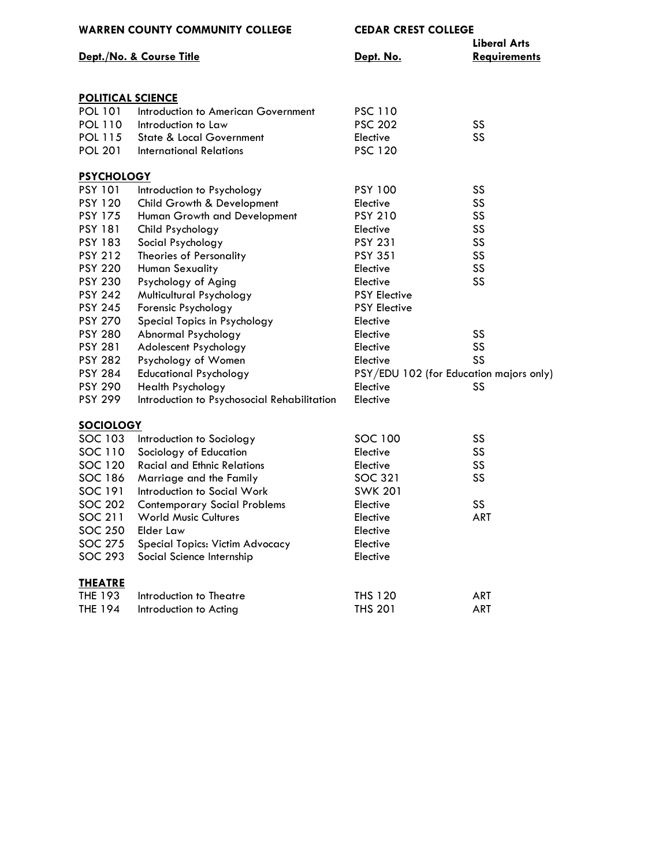| <b>WARREN COUNTY COMMUNITY COLLEGE</b> |                                             | <b>CEDAR CREST COLLEGE</b><br><b>Liberal Arts</b> |                     |
|----------------------------------------|---------------------------------------------|---------------------------------------------------|---------------------|
|                                        | Dept./No. & Course Title                    | Dept. No.                                         | <b>Requirements</b> |
|                                        |                                             |                                                   |                     |
| <b>POLITICAL SCIENCE</b>               |                                             |                                                   |                     |
| <b>POL 101</b>                         | Introduction to American Government         | <b>PSC 110</b>                                    |                     |
| <b>POL 110</b>                         | Introduction to Law                         | <b>PSC 202</b>                                    | SS                  |
| <b>POL 115</b>                         | <b>State &amp; Local Government</b>         | Elective                                          | SS                  |
| <b>POL 201</b>                         | <b>International Relations</b>              | <b>PSC 120</b>                                    |                     |
| <b>PSYCHOLOGY</b>                      |                                             |                                                   |                     |
| <b>PSY 101</b>                         | Introduction to Psychology                  | <b>PSY 100</b>                                    | SS                  |
| <b>PSY 120</b>                         | Child Growth & Development                  | Elective                                          | SS                  |
| <b>PSY 175</b>                         | Human Growth and Development                | <b>PSY 210</b>                                    | SS                  |
| <b>PSY 181</b>                         | Child Psychology                            | Elective                                          | SS                  |
| <b>PSY 183</b>                         | Social Psychology                           | <b>PSY 231</b>                                    | SS                  |
| <b>PSY 212</b>                         | Theories of Personality                     | <b>PSY 351</b>                                    | SS                  |
| <b>PSY 220</b>                         | Human Sexuality                             | Elective                                          | SS                  |
| <b>PSY 230</b>                         | Psychology of Aging                         | Elective                                          | SS                  |
| <b>PSY 242</b>                         | Multicultural Psychology                    | <b>PSY Elective</b>                               |                     |
| <b>PSY 245</b>                         | Forensic Psychology                         | <b>PSY Elective</b>                               |                     |
| <b>PSY 270</b>                         | Special Topics in Psychology                | Elective                                          |                     |
| <b>PSY 280</b>                         | Abnormal Psychology                         | Elective                                          | SS                  |
| <b>PSY 281</b>                         | Adolescent Psychology                       | Elective                                          | SS                  |
| <b>PSY 282</b>                         | Psychology of Women                         | Elective                                          | SS                  |
| <b>PSY 284</b>                         | <b>Educational Psychology</b>               | PSY/EDU 102 (for Education majors only)           |                     |
| <b>PSY 290</b>                         | Health Psychology                           | Elective                                          | SS                  |
| <b>PSY 299</b>                         | Introduction to Psychosocial Rehabilitation | Elective                                          |                     |
| <b>SOCIOLOGY</b>                       |                                             |                                                   |                     |
| SOC 103                                | Introduction to Sociology                   | <b>SOC 100</b>                                    | SS                  |
| SOC 110                                | Sociology of Education                      | Elective                                          | SS                  |
| <b>SOC 120</b>                         | <b>Racial and Ethnic Relations</b>          | Elective                                          | SS                  |
| <b>SOC 186</b>                         | Marriage and the Family                     | <b>SOC 321</b>                                    | SS                  |
| <b>SOC 191</b>                         | Introduction to Social Work                 | <b>SWK 201</b>                                    |                     |
| <b>SOC 202</b>                         | <b>Contemporary Social Problems</b>         | Elective                                          | SS                  |
| SOC 211                                | <b>World Music Cultures</b>                 | Elective                                          | <b>ART</b>          |
| <b>SOC 250</b>                         | Elder Law                                   | Elective                                          |                     |
| <b>SOC 275</b>                         | Special Topics: Victim Advocacy             | Elective                                          |                     |
| <b>SOC 293</b>                         | Social Science Internship                   | Elective                                          |                     |
| <b>THEATRE</b>                         |                                             |                                                   |                     |
| THE 193                                | Introduction to Theatre                     | <b>THS 120</b>                                    | ART                 |
| <b>THE 194</b>                         | Introduction to Acting                      | <b>THS 201</b>                                    | ART                 |